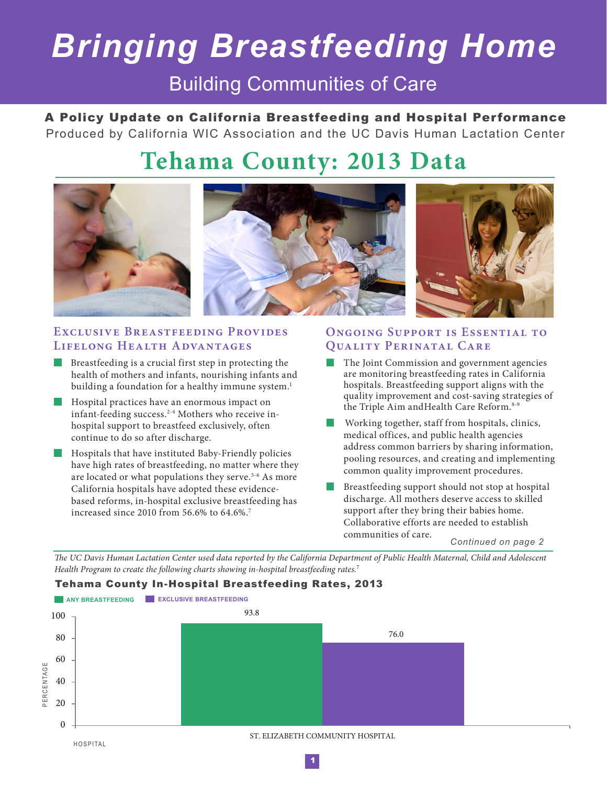# *Bringing Breastfeeding Home*

### Building Communities of Care

A Policy Update on California Breastfeeding and Hospital Performance Produced by California WIC Association and the UC Davis Human Lactation Center

## **Tehama County: 2013 Data**



#### EXCLUSIVE BREASTFEEDING PROVIDES **Lifelong Health Advantages**

- Breastfeeding is a crucial first step in protecting the health of mothers and infants, nourishing infants and building a foundation for a healthy immune system.<sup>1</sup>
- **Hospital practices have an enormous impact on** infant-feeding success.2-4 Mothers who receive inhospital support to breastfeed exclusively, often continue to do so after discharge.
- $\blacksquare$  Hospitals that have instituted Baby-Friendly policies have high rates of breastfeeding, no matter where they are located or what populations they serve.<sup>5-6</sup> As more California hospitals have adopted these evidencebased reforms, in-hospital exclusive breastfeeding has increased since 2010 from 56.6% to 64.6%.7

#### **Ongoing Support is Essential to Quality Perinatal Care**

- The Joint Commission and government agencies are monitoring breastfeeding rates in California hospitals. Breastfeeding support aligns with the quality improvement and cost-saving strategies of the Triple Aim and Health Care Reform.<sup>8-9</sup>
- Working together, staff from hospitals, clinics, medical offices, and public health agencies address common barriers by sharing information, pooling resources, and creating and implementing common quality improvement procedures.
- Breastfeeding support should not stop at hospital discharge. All mothers deserve access to skilled support after they bring their babies home. Collaborative efforts are needed to establish communities of care.

*Continued on page 2*

*The UC Davis Human Lactation Center used data reported by the California Department of Public Health Maternal, Child and Adolescent Health Program to create the following charts showing in-hospital breastfeeding rates.*<sup>7</sup>

Tehama County In-Hospital Breastfeeding Rates, 2013